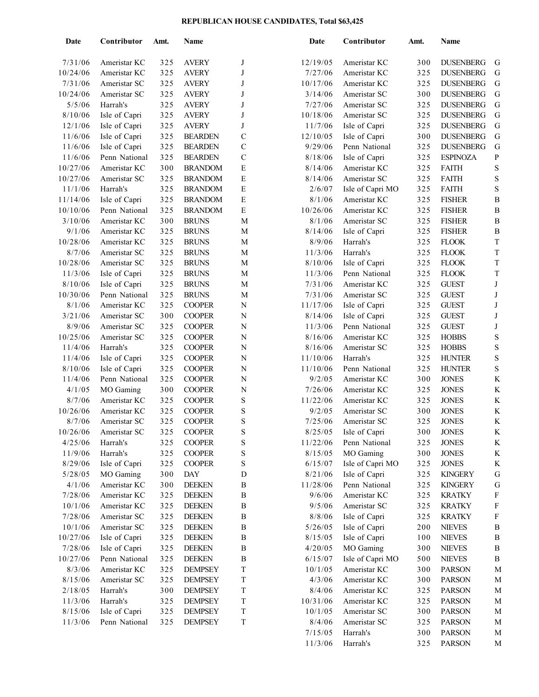## **REPUBLICAN HOUSE CANDIDATES, Total \$63,425**

| Date               | Contributor   | Amt. | Name           |                  | Date     | Contributor                    | Amt. | Name             |                           |
|--------------------|---------------|------|----------------|------------------|----------|--------------------------------|------|------------------|---------------------------|
| 7/31/06            | Ameristar KC  | 325  | <b>AVERY</b>   | J                | 12/19/05 | Ameristar KC                   | 300  | <b>DUSENBERG</b> | G                         |
| 10/24/06           | Ameristar KC  | 325  | <b>AVERY</b>   | J                | 7/27/06  | Ameristar KC                   | 325  | <b>DUSENBERG</b> | G                         |
| 7/31/06            | Ameristar SC  | 325  | <b>AVERY</b>   | J                | 10/17/06 | Ameristar KC                   | 325  | <b>DUSENBERG</b> | ${\bf G}$                 |
| 10/24/06           | Ameristar SC  | 325  | <b>AVERY</b>   | J                | 3/14/06  | Ameristar SC                   | 300  | <b>DUSENBERG</b> | ${\bf G}$                 |
| 5/5/06             | Harrah's      | 325  | <b>AVERY</b>   | J                | 7/27/06  | Ameristar SC                   | 325  | <b>DUSENBERG</b> | ${\bf G}$                 |
| 8/10/06            | Isle of Capri | 325  | <b>AVERY</b>   | J                | 10/18/06 | Ameristar SC                   | 325  | <b>DUSENBERG</b> | ${\bf G}$                 |
| 12/1/06            | Isle of Capri | 325  | <b>AVERY</b>   | J                | 11/7/06  | Isle of Capri                  | 325  | <b>DUSENBERG</b> | ${\bf G}$                 |
| 11/6/06            | Isle of Capri | 325  | <b>BEARDEN</b> | $\mathsf{C}$     | 12/10/05 | Isle of Capri                  | 300  | <b>DUSENBERG</b> | ${\bf G}$                 |
| 11/6/06            | Isle of Capri | 325  | <b>BEARDEN</b> | $\mathsf{C}$     | 9/29/06  | Penn National                  | 325  | <b>DUSENBERG</b> | ${\bf G}$                 |
| 11/6/06            | Penn National | 325  | <b>BEARDEN</b> | $\mathsf{C}$     | 8/18/06  | Isle of Capri                  | 325  | <b>ESPINOZA</b>  | $\, {\bf p}$              |
| 10/27/06           | Ameristar KC  | 300  | <b>BRANDOM</b> | $\mathbf E$      | 8/14/06  | Ameristar KC                   | 325  | <b>FAITH</b>     | $\mathbf S$               |
| 10/27/06           | Ameristar SC  | 325  | <b>BRANDOM</b> | $\mathbf E$      | 8/14/06  | Ameristar SC                   | 325  | <b>FAITH</b>     | $\mathbf S$               |
| 11/1/06            | Harrah's      | 325  | <b>BRANDOM</b> | $\mathbf E$      | 2/6/07   | Isle of Capri MO               | 325  | <b>FAITH</b>     | $\mathbf S$               |
| 11/14/06           | Isle of Capri | 325  | <b>BRANDOM</b> | $\mathbf E$      | 8/1/06   | Ameristar KC                   | 325  | <b>FISHER</b>    | $\, {\bf B}$              |
| 10/10/06           | Penn National | 325  | <b>BRANDOM</b> | $\mathbf E$      | 10/26/06 | Ameristar KC                   | 325  | <b>FISHER</b>    | $\, {\bf B}$              |
| 3/10/06            | Ameristar KC  | 300  | <b>BRUNS</b>   | M                | 8/1/06   | Ameristar SC                   | 325  | <b>FISHER</b>    | $\, {\bf B}$              |
| 9/1/06             | Ameristar KC  | 325  | <b>BRUNS</b>   | $\mathbf M$      | 8/14/06  | Isle of Capri                  | 325  | <b>FISHER</b>    | $\, {\bf B}$              |
| 10/28/06           | Ameristar KC  | 325  | <b>BRUNS</b>   | M                | 8/9/06   | Harrah's                       | 325  | <b>FLOOK</b>     | $\mathbf T$               |
|                    |               |      |                |                  |          | Harrah's                       | 325  |                  | $\mathbf T$               |
| 8/7/06<br>10/28/06 | Ameristar SC  | 325  | <b>BRUNS</b>   | M                | 11/3/06  |                                | 325  | <b>FLOOK</b>     | $\mathbf T$               |
|                    | Ameristar SC  | 325  | <b>BRUNS</b>   | M<br>$\mathbf M$ | 8/10/06  | Isle of Capri<br>Penn National | 325  | <b>FLOOK</b>     | $\mathbf T$               |
| 11/3/06            | Isle of Capri | 325  | <b>BRUNS</b>   |                  | 11/3/06  | Ameristar KC                   |      | <b>FLOOK</b>     |                           |
| 8/10/06            | Isle of Capri | 325  | <b>BRUNS</b>   | M                | 7/31/06  |                                | 325  | <b>GUEST</b>     | $\bf J$                   |
| 10/30/06           | Penn National | 325  | <b>BRUNS</b>   | M                | 7/31/06  | Ameristar SC                   | 325  | <b>GUEST</b>     | J                         |
| 8/1/06             | Ameristar KC  | 325  | <b>COOPER</b>  | N                | 11/17/06 | Isle of Capri                  | 325  | <b>GUEST</b>     | J                         |
| 3/21/06            | Ameristar SC  | 300  | <b>COOPER</b>  | N                | 8/14/06  | Isle of Capri                  | 325  | <b>GUEST</b>     | J                         |
| 8/9/06             | Ameristar SC  | 325  | <b>COOPER</b>  | ${\bf N}$        | 11/3/06  | Penn National                  | 325  | <b>GUEST</b>     | J                         |
| 10/25/06           | Ameristar SC  | 325  | <b>COOPER</b>  | ${\bf N}$        | 8/16/06  | Ameristar KC                   | 325  | <b>HOBBS</b>     | $\mathbf S$               |
| 11/4/06            | Harrah's      | 325  | <b>COOPER</b>  | ${\bf N}$        | 8/16/06  | Ameristar SC                   | 325  | <b>HOBBS</b>     | $\mathbf S$               |
| 11/4/06            | Isle of Capri | 325  | <b>COOPER</b>  | N                | 11/10/06 | Harrah's                       | 325  | <b>HUNTER</b>    | $\mathbf S$               |
| 8/10/06            | Isle of Capri | 325  | <b>COOPER</b>  | ${\bf N}$        | 11/10/06 | Penn National                  | 325  | <b>HUNTER</b>    | $\mathbf S$               |
| 11/4/06            | Penn National | 325  | <b>COOPER</b>  | $\mathbf N$      | 9/2/05   | Ameristar KC                   | 300  | <b>JONES</b>     | K                         |
| 4/1/05             | MO Gaming     | 300  | <b>COOPER</b>  | N                | 7/26/06  | Ameristar KC                   | 325  | <b>JONES</b>     | $\rm K$                   |
| 8/7/06             | Ameristar KC  | 325  | <b>COOPER</b>  | $\mathbf S$      | 11/22/06 | Ameristar KC                   | 325  | <b>JONES</b>     | $\rm K$                   |
| 10/26/06           | Ameristar KC  | 325  | <b>COOPER</b>  | $\mathbf S$      | 9/2/05   | Ameristar SC                   | 300  | <b>JONES</b>     | $\rm K$                   |
| 8/7/06             | Ameristar SC  | 325  | <b>COOPER</b>  | S                | 7/25/06  | Ameristar SC                   | 325  | <b>JONES</b>     | $\rm K$                   |
| 10/26/06           | Ameristar SC  | 325  | <b>COOPER</b>  | S                | 8/25/05  | Isle of Capri                  | 300  | <b>JONES</b>     | K                         |
| 4/25/06            | Harrah's      | 325  | <b>COOPER</b>  | S                | 11/22/06 | Penn National                  | 325  | <b>JONES</b>     | K                         |
| 11/9/06            | Harrah's      | 325  | <b>COOPER</b>  | S                | 8/15/05  | MO Gaming                      | 300  | <b>JONES</b>     | $\rm K$                   |
| 8/29/06            | Isle of Capri | 325  | <b>COOPER</b>  | S                | 6/15/07  | Isle of Capri MO               | 325  | <b>JONES</b>     | $\rm K$                   |
| 5/28/05            | MO Gaming     | 300  | <b>DAY</b>     | D                | 8/21/06  | Isle of Capri                  | 325  | <b>KINGERY</b>   | ${\bf G}$                 |
| 4/1/06             | Ameristar KC  | 300  | <b>DEEKEN</b>  | $\, {\bf B}$     | 11/28/06 | Penn National                  | 325  | <b>KINGERY</b>   | ${\bf G}$                 |
| 7/28/06            | Ameristar KC  | 325  | <b>DEEKEN</b>  | $\, {\bf B}$     | 9/6/06   | Ameristar KC                   | 325  | <b>KRATKY</b>    | $\mathbf F$               |
| 10/1/06            | Ameristar KC  | 325  | <b>DEEKEN</b>  | $\, {\bf B}$     | 9/5/06   | Ameristar SC                   | 325  | <b>KRATKY</b>    | $\boldsymbol{\mathrm{F}}$ |
| 7/28/06            | Ameristar SC  | 325  | <b>DEEKEN</b>  | $\, {\bf B}$     | 8/8/06   | Isle of Capri                  | 325  | <b>KRATKY</b>    | $\mathbf F$               |
| 10/1/06            | Ameristar SC  | 325  | <b>DEEKEN</b>  | $\, {\bf B}$     | 5/26/05  | Isle of Capri                  | 200  | <b>NIEVES</b>    | $\, {\bf B}$              |
| 10/27/06           | Isle of Capri | 325  | <b>DEEKEN</b>  | $\, {\bf B}$     | 8/15/05  | Isle of Capri                  | 100  | <b>NIEVES</b>    | $\, {\bf B}$              |
| 7/28/06            | Isle of Capri | 325  | <b>DEEKEN</b>  | $\, {\bf B}$     | 4/20/05  | MO Gaming                      | 300  | <b>NIEVES</b>    | $\, {\bf B}$              |
| 10/27/06           | Penn National | 325  | <b>DEEKEN</b>  | $\, {\bf B}$     | 6/15/07  | Isle of Capri MO               | 500  | <b>NIEVES</b>    | $\, {\bf B}$              |
| 8/3/06             | Ameristar KC  | 325  | <b>DEMPSEY</b> | $\mathcal T$     | 10/1/05  | Ameristar KC                   | 300  | <b>PARSON</b>    | $\mathbf M$               |
| 8/15/06            | Ameristar SC  | 325  | <b>DEMPSEY</b> | T                | 4/3/06   | Ameristar KC                   | 300  | <b>PARSON</b>    | M                         |
| 2/18/05            | Harrah's      | 300  | <b>DEMPSEY</b> | T                | 8/4/06   | Ameristar KC                   | 325  | <b>PARSON</b>    | $\mathbf M$               |
| 11/3/06            | Harrah's      | 325  | <b>DEMPSEY</b> | T                | 10/31/06 | Ameristar KC                   | 325  | <b>PARSON</b>    | $\mathbf M$               |
| 8/15/06            | Isle of Capri | 325  | <b>DEMPSEY</b> | T                | 10/1/05  | Ameristar SC                   | 300  | <b>PARSON</b>    | $\mathbf M$               |
| 11/3/06            | Penn National | 325  | <b>DEMPSEY</b> | $\mathbf T$      | 8/4/06   | Ameristar SC                   | 325  | <b>PARSON</b>    | M                         |
|                    |               |      |                |                  | 7/15/05  | Harrah's                       | 300  | <b>PARSON</b>    | $\mathbf M$               |
|                    |               |      |                |                  | 11/3/06  | Harrah's                       | 325  | <b>PARSON</b>    | $\mathbf M$               |